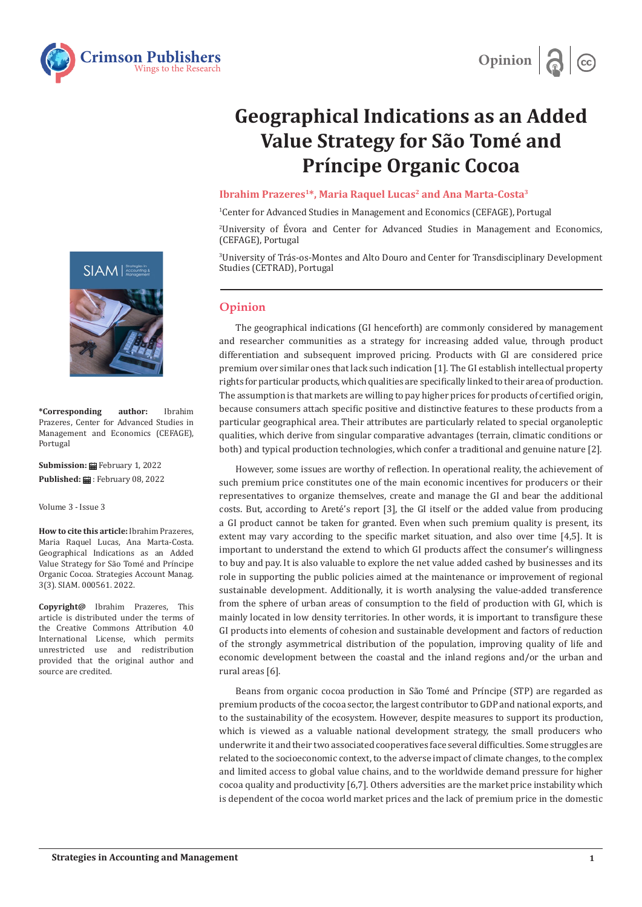



# **Geographical Indications as an Added Value Strategy for São Tomé and Príncipe Organic Cocoa**

### **Ibrahim Prazeres<sup>1\*</sup>, Maria Raquel Lucas<sup>2</sup> and Ana Marta-Costa<sup>3</sup>**

1 Center for Advanced Studies in Management and Economics (CEFAGE), Portugal

2 University of Évora and Center for Advanced Studies in Management and Economics, (CEFAGE), Portugal

3 University of Trás-os-Montes and Alto Douro and Center for Transdisciplinary Development Studies (CETRAD), Portugal

## **Opinion**

The geographical indications (GI henceforth) are commonly considered by management and researcher communities as a strategy for increasing added value, through product differentiation and subsequent improved pricing. Products with GI are considered price premium over similar ones that lack such indication [1]. The GI establish intellectual property rights for particular products, which qualities are specifically linked to their area of production. The assumption is that markets are willing to pay higher prices for products of certified origin, because consumers attach specific positive and distinctive features to these products from a particular geographical area. Their attributes are particularly related to special organoleptic qualities, which derive from singular comparative advantages (terrain, climatic conditions or both) and typical production technologies, which confer a traditional and genuine nature [2].

However, some issues are worthy of reflection. In operational reality, the achievement of such premium price constitutes one of the main economic incentives for producers or their representatives to organize themselves, create and manage the GI and bear the additional costs. But, according to Areté's report [3], the GI itself or the added value from producing a GI product cannot be taken for granted. Even when such premium quality is present, its extent may vary according to the specific market situation, and also over time [4,5]. It is important to understand the extend to which GI products affect the consumer's willingness to buy and pay. It is also valuable to explore the net value added cashed by businesses and its role in supporting the public policies aimed at the maintenance or improvement of regional sustainable development. Additionally, it is worth analysing the value-added transference from the sphere of urban areas of consumption to the field of production with GI, which is mainly located in low density territories. In other words, it is important to transfigure these GI products into elements of cohesion and sustainable development and factors of reduction of the strongly asymmetrical distribution of the population, improving quality of life and economic development between the coastal and the inland regions and/or the urban and rural areas [6].

Beans from organic cocoa production in São Tomé and Príncipe (STP) are regarded as premium products of the cocoa sector, the largest contributor to GDP and national exports, and to the sustainability of the ecosystem. However, despite measures to support its production, which is viewed as a valuable national development strategy, the small producers who underwrite it and their two associated cooperatives face several difficulties. Some struggles are related to the socioeconomic context, to the adverse impact of climate changes, to the complex and limited access to global value chains, and to the worldwide demand pressure for higher cocoa quality and productivity [6,7]. Others adversities are the market price instability which is dependent of the cocoa world market prices and the lack of premium price in the domestic



**\*Corresponding author:** Ibrahim Prazeres, Center for Advanced Studies in Management and Economics (CEFAGE), Portugal

**Submission:** February 1, 2022 **Published: . February 08, 2022** 

Volume 3 - Issue 3

**How to cite this article:** Ibrahim Prazeres, Maria Raquel Lucas, Ana Marta-Costa. Geographical Indications as an Added Value Strategy for São Tomé and Príncipe Organic Cocoa. Strategies Account Manag. 3(3). SIAM. 000561. 2022.

**Copyright@** Ibrahim Prazeres, This article is distributed under the terms of the Creative Commons Attribution 4.0 International License, which permits unrestricted use and redistribution provided that the original author and source are credited.